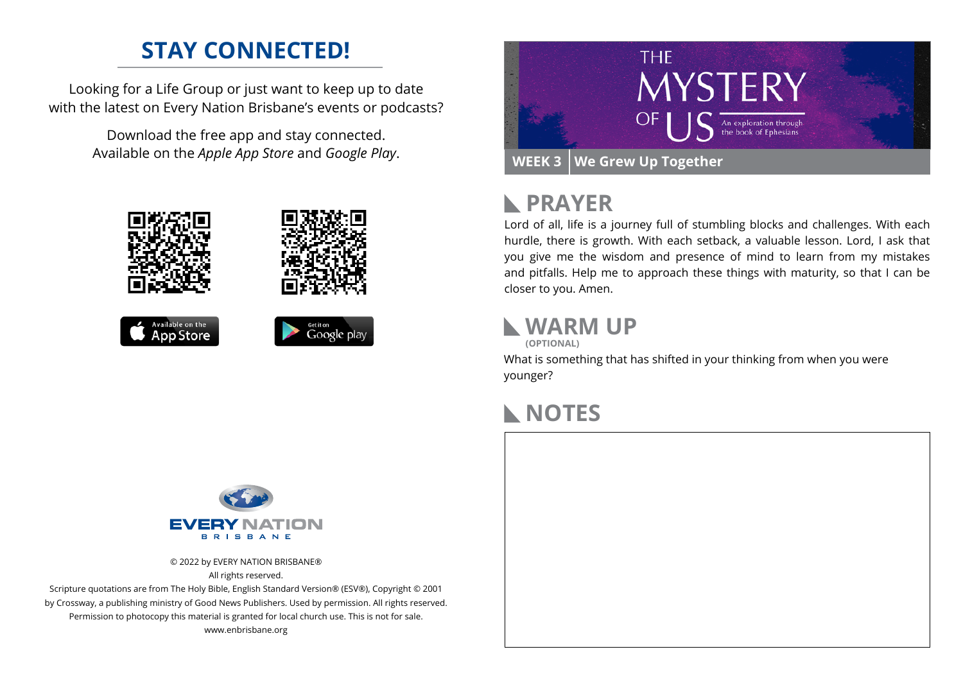## **STAY CONNECTED!**

Looking for a Life Group or just want to keep up to date with the latest on Every Nation Brisbane's events or podcasts?

> Download the free app and stay connected. Available on the *Apple App Store* and *Google Play*.











# **PRAYER**

Lord of all, life is a journey full of stumbling blocks and challenges. With each hurdle, there is growth. With each setback, a valuable lesson. Lord, I ask that you give me the wisdom and presence of mind to learn from my mistakes and pitfalls. Help me to approach these things with maturity, so that I can be closer to you. Amen.

## **WARM UP**

**(OPTIONAL)**

What is something that has shifted in your thinking from when you were younger?

## **NOTES**



© 2022 by EVERY NATION BRISBANE® All rights reserved.

Scripture quotations are from The Holy Bible, English Standard Version® (ESV®), Copyright © 2001 by Crossway, a publishing ministry of Good News Publishers. Used by permission. All rights reserved. Permission to photocopy this material is granted for local church use. This is not for sale. www.enbrisbane.org